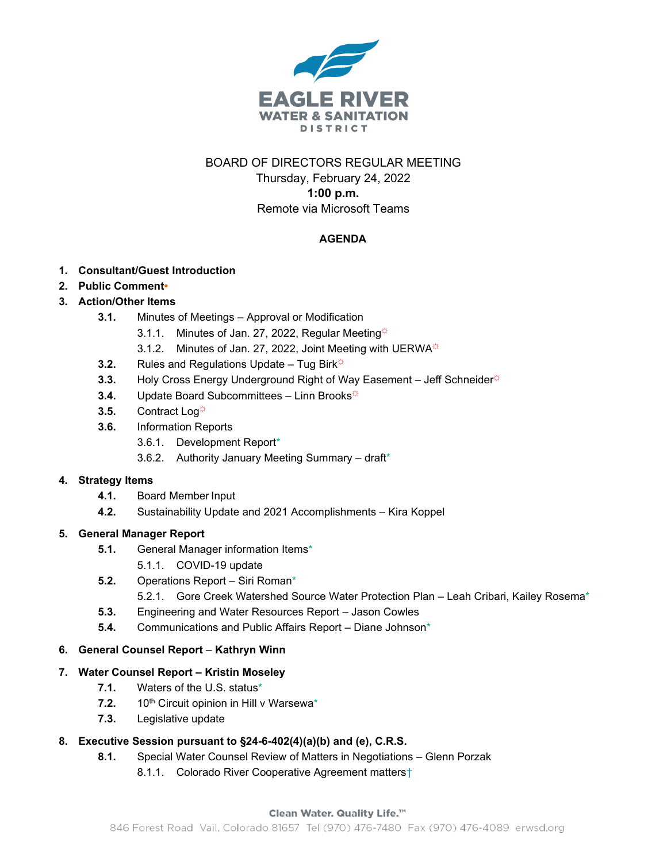

# BOARD OF DIRECTORS REGULAR MEETING

Thursday, February 24, 2022 **1:00 p.m.** Remote via Microsoft Teams

## **AGENDA**

### **1. Consultant/Guest Introduction**

**2. Public Comment•**

## **3. Action/Other Items**

- **3.1.** Minutes of Meetings Approval or Modification
	- 3.1.1. Minutes of Jan. 27, 2022, Regular Meeting $\ddot{\varphi}$
	- 3.1.2. Minutes of Jan. 27, 2022, Joint Meeting with UERWA<sup>\*</sup>
- **3.2.** Rules and Regulations Update Tug Birk<sup> $\ddot{\varphi}$ </sup>
- **3.3.** Holy Cross Energy Underground Right of Way Easement Jeff Schneider<sup>☆</sup>
- **3.4.** Update Board Subcommittees Linn Brooks<sup> $\phi$ </sup>
- **3.5.** Contract Log☼
- **3.6.** Information Reports
	- 3.6.1. Development Report\*
	- 3.6.2. Authority January Meeting Summary draft\*

### **4. Strategy Items**

- **4.1.** Board Member Input
- **4.2.** Sustainability Update and 2021 Accomplishments Kira Koppel

### **5. General Manager Report**

- **5.1.** General Manager information Items\*
	- 5.1.1. COVID-19 update
- **5.2.** Operations Report Siri Roman\*
	- 5.2.1. Gore Creek Watershed Source Water Protection Plan Leah Cribari, Kailey Rosema\*
- **5.3.** Engineering and Water Resources Report Jason Cowles
- **5.4.** Communications and Public Affairs Report Diane Johnson\*

### **6. General Counsel Report** – **Kathryn Winn**

#### **7. Water Counsel Report – Kristin Moseley**

- **7.1.** Waters of the U.S. status\*
- 7.2. 10<sup>th</sup> Circuit opinion in Hill v Warsewa<sup>\*</sup>
- **7.3.** Legislative update

### **8. Executive Session pursuant to §24-6-402(4)(a)(b) and (e), C.R.S.**

- **8.1.** Special Water Counsel Review of Matters in Negotiations Glenn Porzak
	- 8.1.1. Colorado River Cooperative Agreement matters<sup>+</sup>

#### Clean Water. Quality Life.™